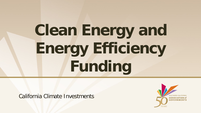# **Clean Energy and Energy Efficiency Funding**

California Climate Investments

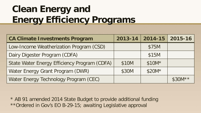## **Clean Energy and Energy Efficiency Programs**

| <b>CA Climate Investments Program</b>        | 2013-14 | $\vert$ 2014-15 $\vert$ | 2015-16  |
|----------------------------------------------|---------|-------------------------|----------|
| Low-Income Weatherization Program (CSD)      |         | \$75M                   |          |
| Dairy Digester Program (CDFA)                |         | \$15M                   |          |
| State Water Energy Efficiency Program (CDFA) | \$10M   | $$10M*$                 |          |
| Water Energy Grant Program (DWR)             | \$30M   | $$20M*$                 |          |
| Water Energy Technology Program (CEC)        |         |                         | $$30M**$ |

\* AB 91 amended 2014 State Budget to provide additional funding \*\*Ordered in Gov's EO B-29-15; awaiting Legislative approval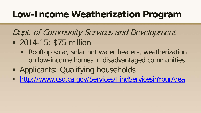#### **Low-Income Weatherization Program**

#### Dept. of Community Services and Development

- **2014-15: \$75 million** 
	- **Rooftop solar, solar hot water heaters, weatherization** on low-income homes in disadvantaged communities
- **Applicants: Qualifying households**
- **<http://www.csd.ca.gov/Services/FindServicesinYourArea>**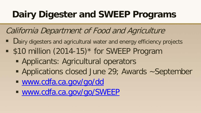## **Dairy Digester and SWEEP Programs**

#### California Department of Food and Agriculture

- Dairy digesters and agricultural water and energy efficiency projects
- **S10 million (2014-15)\* for SWEEP Program** 
	- **Applicants: Agricultural operators**
	- **Applications closed June 29; Awards ~September**
	- [www.cdfa.ca.gov/go/dd](http://www.cdfa.ca.gov/go/dd)
	- [www.cdfa.ca.gov/go/SWEEP](http://www.cdfa.ca.gov/go/SWEEP)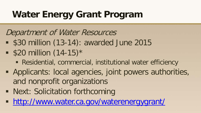### **Water Energy Grant Program**

#### Department of Water Resources

- **\$30 million (13-14): awarded June 2015**
- $\bullet$  \$20 million (14-15)\*
	- Residential, commercial, institutional water efficiency
- Applicants: local agencies, joint powers authorities, and nonprofit organizations
- **Next: Solicitation forthcoming**
- <http://www.water.ca.gov/waterenergygrant/>